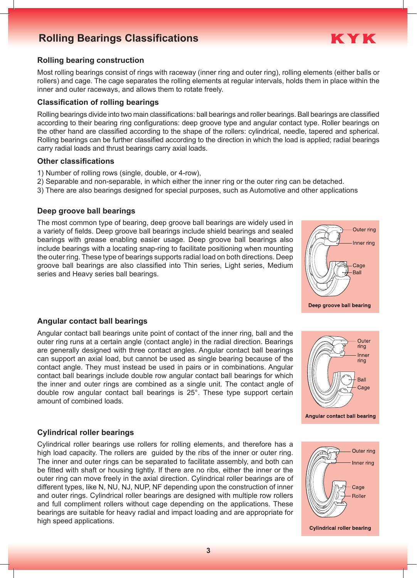# **Rolling Bearings Classifications Rolling Bearings Classifications**



### **Rolling bearing construction**

Most rolling bearings consist of rings with raceway (inner ring and outer ring), rolling elements (either balls or rollers) and cage. The cage separates the rolling elements at regular intervals, holds them in place within the inner and outer raceways, and allows them to rotate freely.

#### **Classification of rolling bearings**

Rolling bearings divide into two main classifications: ball bearings and roller bearings. Ball bearings are classified according to their bearing ring configurations: deep groove type and angular contact type. Roller bearings on the other hand are classified according to the shape of the rollers: cylindrical, needle, tapered and spherical. Rolling bearings can be further classified according to the direction in which the load is applied; radial bearings carry radial loads and thrust bearings carry axial loads.

### **Other classifications**

- 1) Number of rolling rows (single, double, or 4-row),
- 2) Separable and non-separable, in which either the inner ring or the outer ring can be detached.
- 3) There are also bearings designed for special purposes, such as Automotive and other applications

### **Deep groove ball bearings**

The most common type of bearing, deep groove ball bearings are widely used in a variety of fields. Deep groove ball bearings include shield bearings and sealed bearings with grease enabling easier usage. Deep groove ball bearings also include bearings with a locating snap-ring to facilitate positioning when mounting the outer ring. These type of bearings supports radial load on both directions. Deep groove ball bearings are also classified into Thin series, Light series, Medium series and Heavy series ball bearings.



Deep groove ball bearing

### **Angular contact ball bearings**

Angular contact ball bearings unite point of contact of the inner ring, ball and the outer ring runs at a certain angle (contact angle) in the radial direction. Bearings are generally designed with three contact angles. Angular contact ball bearings can support an axial load, but cannot be used as single bearing because of the contact angle. They must instead be used in pairs or in combinations. Angular contact ball bearings include double row angular contact ball bearings for which the inner and outer rings are combined as a single unit. The contact angle of double row angular contact ball bearings is 25°. These type support certain amount of combined loads.



### **Cylindrical roller bearings**

Cylindrical roller bearings use rollers for rolling elements, and therefore has a high load capacity. The rollers are guided by the ribs of the inner or outer ring. The inner and outer rings can be separated to facilitate assembly, and both can be fitted with shaft or housing tightly. If there are no ribs, either the inner or the outer ring can move freely in the axial direction. Cylindrical roller bearings are of different types, like N, NU, NJ, NUP, NF depending upon the construction of inner and outer rings. Cylindrical roller bearings are designed with multiple row rollers and full compliment rollers without cage depending on the applications. These bearings are suitable for heavy radial and impact loading and are appropriate for high speed applications.



**Cylindrical roller bearing**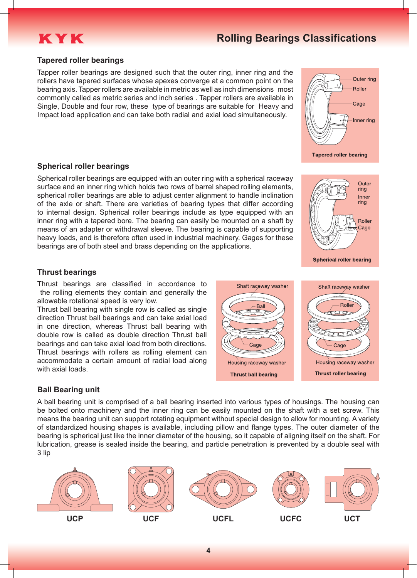

### **Tapered roller bearings**

Tapper roller bearings are designed such that the outer ring, inner ring and the rollers have tapered surfaces whose apexes converge at a common point on the bearing axis. Tapper rollers are available in metric as well as inch dimensions most commonly called as metric series and inch series . Tapper rollers are available in Single, Double and four row, these type of bearings are suitable for Heavy and Impact load application and can take both radial and axial load simultaneously.



**Spherical roller bearings**

Spherical roller bearings are equipped with an outer ring with a spherical raceway surface and an inner ring which holds two rows of barrel shaped rolling elements, spherical roller bearings are able to adjust center alignment to handle inclination of the axle or shaft. There are varieties of bearing types that differ according to internal design. Spherical roller bearings include as type equipped with an inner ring with a tapered bore. The bearing can easily be mounted on a shaft by means of an adapter or withdrawal sleeve. The bearing is capable of supporting heavy loads, and is therefore often used in industrial machinery. Gages for these bearings are of both steel and brass depending on the applications.



### **Thrust bearings**

Thrust bearings are classified in accordance to the rolling elements they contain and generally the allowable rotational speed is very low.

Thrust ball bearing with single row is called as single direction Thrust ball bearings and can take axial load in one direction, whereas Thrust ball bearing with double row is called as double direction Thrust ball bearings and can take axial load from both directions. Thrust bearings with rollers as rolling element can accommodate a certain amount of radial load along with axial loads.

### **Ball Bearing unit**

A ball bearing unit is comprised of a ball bearing inserted into various types of housings. The housing can be bolted onto machinery and the inner ring can be easily mounted on the shaft with a set screw. This means the bearing unit can support rotating equipment without special design to allow for mounting. A variety of standardized housing shapes is available, including pillow and flange types. The outer diameter of the bearing is spherical just like the inner diameter of the housing, so it capable of aligning itself on the shaft. For lubrication, grease is sealed inside the bearing, and particle penetration is prevented by a double seal with 3 lip



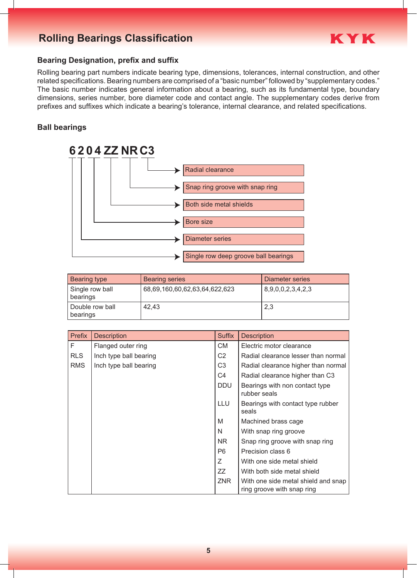# **Rolling Bearings Classification Rolling Bearings Classification**



## **Bearing Designation, prefix and suffix**

Rolling bearing part numbers indicate bearing type, dimensions, tolerances, internal construction, and other related specifications. Bearing numbers are comprised of a "basic number" followed by "supplementary codes." The basic number indicates general information about a bearing, such as its fundamental type, boundary dimensions, series number, bore diameter code and contact angle. The supplementary codes derive from prefixes and suffixes which indicate a bearing's tolerance, internal clearance, and related specifications.

## **Ball bearings**



| Bearing type                | <b>Bearing series</b>         | Diameter series   |
|-----------------------------|-------------------------------|-------------------|
| Single row ball<br>bearings | 68,69,160,60,62,63,64,622,623 | 8,9,0,0,2,3,4,2,3 |
| Double row ball<br>bearings | 42,43                         | 2,3               |

| Prefix     | <b>Description</b>     | <b>Suffix</b>  | <b>Description</b>                                                |
|------------|------------------------|----------------|-------------------------------------------------------------------|
| F.         | Flanged outer ring     | CM.            | Electric motor clearance                                          |
| <b>RLS</b> | Inch type ball bearing | C <sub>2</sub> | Radial clearance lesser than normal                               |
| <b>RMS</b> | Inch type ball bearing | C <sub>3</sub> | Radial clearance higher than normal                               |
|            |                        | C <sub>4</sub> | Radial clearance higher than C3                                   |
|            |                        | <b>DDU</b>     | Bearings with non contact type<br>rubber seals                    |
|            |                        | LLU            | Bearings with contact type rubber<br>seals                        |
|            |                        | M              | Machined brass cage                                               |
|            |                        | N              | With snap ring groove                                             |
|            |                        | NR.            | Snap ring groove with snap ring                                   |
|            |                        | P <sub>6</sub> | Precision class 6                                                 |
|            |                        | Z              | With one side metal shield                                        |
|            |                        | ZZ             | With both side metal shield                                       |
|            |                        | <b>ZNR</b>     | With one side metal shield and snap<br>ring groove with snap ring |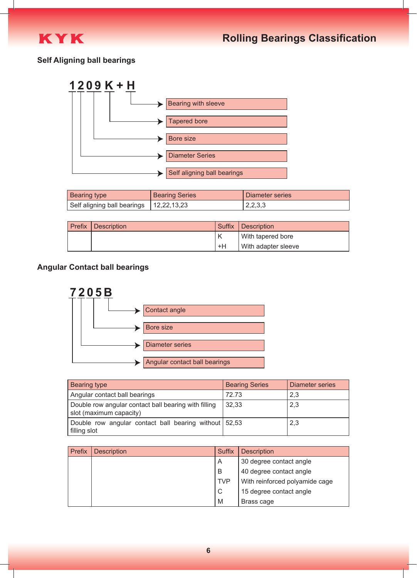

## **Self Aligning ball bearings**



| <b>Bearing type</b>                       | <b>Bearing Series</b> | Diameter series |
|-------------------------------------------|-----------------------|-----------------|
| Self aligning ball bearings   12,22,13,23 |                       | 2,2,3,3         |

| <b>Prefix Description</b> | <b>Suffix</b> | Description         |
|---------------------------|---------------|---------------------|
|                           |               | With tapered bore   |
|                           | +H            | With adapter sleeve |

## **Angular Contact ball bearings**



| Bearing type                                                                    | <b>Bearing Series</b> | <b>Diameter series</b> |
|---------------------------------------------------------------------------------|-----------------------|------------------------|
| Angular contact ball bearings                                                   | 72.73                 | 2.3                    |
| Double row angular contact ball bearing with filling<br>slot (maximum capacity) | 32,33                 | 2,3                    |
| Double row angular contact ball bearing without 52,53<br>filling slot           |                       | 2,3                    |

| Prefix | <b>Description</b> | <b>Suffix</b> | <b>Description</b>             |
|--------|--------------------|---------------|--------------------------------|
|        |                    | A             | 30 degree contact angle        |
|        |                    | B             | 40 degree contact angle        |
|        |                    | <b>TVP</b>    | With reinforced polyamide cage |
|        |                    | C             | 15 degree contact angle        |
|        |                    | M             | Brass cage                     |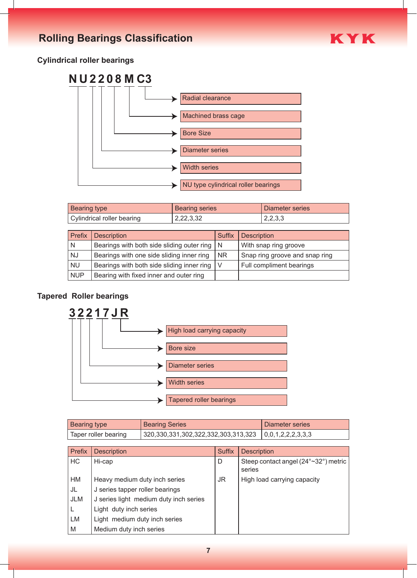

# **Cylindrical roller bearings**



| <b>Bearing type</b>        | <b>Bearing series</b> | Diameter series |
|----------------------------|-----------------------|-----------------|
| Cylindrical roller bearing | 2,22,3,32             | 2,2,3,3         |

| Prefix     | <b>Description</b>                             | <b>Suffix</b> | <b>Description</b>             |
|------------|------------------------------------------------|---------------|--------------------------------|
| N          | Bearings with both side sliding outer ring   N |               | With snap ring groove          |
| <b>NJ</b>  | Bearings with one side sliding inner ring      | I NR          | Snap ring groove and snap ring |
| <b>NU</b>  | Bearings with both side sliding inner ring   V |               | Full compliment bearings       |
| <b>NUP</b> | Bearing with fixed inner and outer ring        |               |                                |

# **Tapered Roller bearings**



| <b>Bearing type</b>  | <b>Bearing Series</b>                                                 | Diameter series |
|----------------------|-----------------------------------------------------------------------|-----------------|
| Taper roller bearing | $\vert$ 320,330,331,302,322,332,303,313,323 $\vert$ 0,0,1,2,2,2,3,3,3 |                 |

| Prefix     | <b>Description</b>                     | <b>Suffix</b> | <b>Description</b>                             |
|------------|----------------------------------------|---------------|------------------------------------------------|
| HC         | Hi-cap                                 | D             | Steep contact angel (24°~32°) metric<br>series |
| HM         | Heavy medium duty inch series          | JR.           | High load carrying capacity                    |
| JL         | J series tapper roller bearings        |               |                                                |
| <b>JLM</b> | J series light medium duty inch series |               |                                                |
|            | Light duty inch series                 |               |                                                |
| <b>LM</b>  | Light medium duty inch series          |               |                                                |
| M          | Medium duty inch series                |               |                                                |